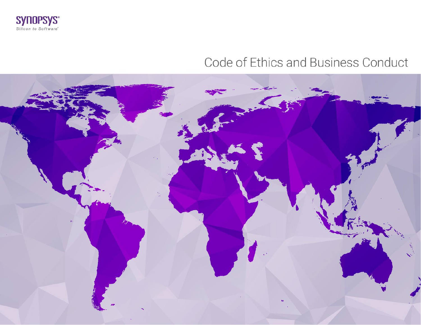

# Code of Ethics and Business Conduct

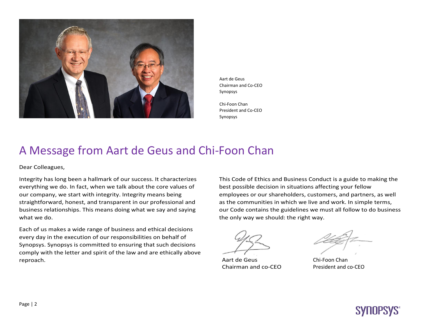

Aart de Geus Chairman and Co-CEO Synopsys

Chi-Foon Chan President and Co-CEO Synopsys

## A Message from Aart de Geus and Chi-Foon Chan

Dear Colleagues,

Integrity has long been a hallmark of our success. It characterizes everything we do. In fact, when we talk about the core values of our company, we start with integrity. Integrity means being straightforward, honest, and transparent in our professional and business relationships. This means doing what we say and saying what we do.

Each of us makes a wide range of business and ethical decisions every day in the execution of our responsibilities on behalf of Synopsys. Synopsys is committed to ensuring that such decisions comply with the letter and spirit of the law and are ethically above reproach.

This Code of Ethics and Business Conduct is a guide to making the best possible decision in situations affecting your fellow employees or our shareholders, customers, and partners, as well as the communities in which we live and work. In simple terms, our Code contains the guidelines we must all follow to do business the only way we should: the right way.

Aart de Geus Chairman and co-CEO

Chi-Foon Chan President and co-CEO

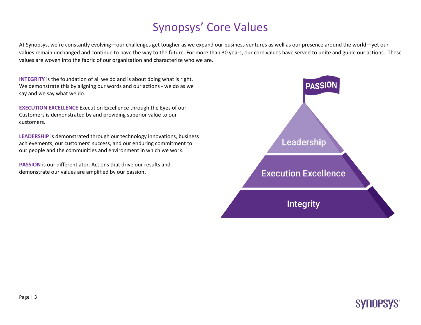# Synopsys' Core Values

At Synopsys, we're constantly evolving—our challenges get tougher as we expand our business ventures as well as our presence around the world—yet our values remain unchanged and continue to pave the way to the future. For more than 30 years, our core values have served to unite and guide our actions. These values are woven into the fabric of our organization and characterize who we are.

**INTEGRITY** is the foundation of all we do and is about doing what is right. We demonstrate this by aligning our words and our actions - we do as we say and we say what we do.

**EXECUTION EXCELLENCE** Execution Excellence through the Eyes of our Customers is demonstrated by and providing superior value to our customers.

**LEADERSHIP** is demonstrated through our technology innovations, business achievements, our customers' success, and our enduring commitment to our people and the communities and environment in which we work.

**PASSION** is our differentiator. Actions that drive our results and demonstrate our values are amplified by our passion**.**

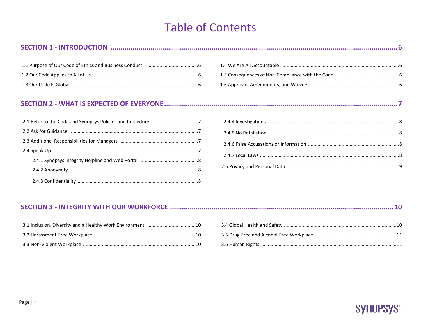# **Table of Contents**

#### 

#### 

#### 

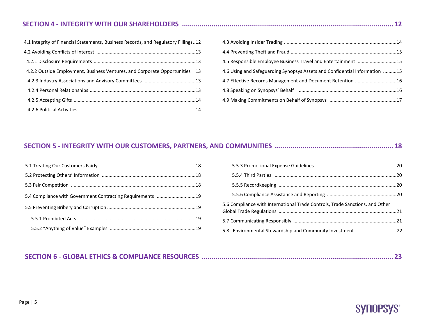### **SECTION 4 - INTEGRITY WITH OUR SHAREHOLDERS ...........................................................................................................12**

| 4.1 Integrity of Financial Statements, Business Records, and Regulatory Fillings12 |  |
|------------------------------------------------------------------------------------|--|
|                                                                                    |  |
|                                                                                    |  |
| 4.2.2 Outside Employment, Business Ventures, and Corporate Opportunities 13        |  |
|                                                                                    |  |
|                                                                                    |  |
|                                                                                    |  |
|                                                                                    |  |

| 4.5 Responsible Employee Business Travel and Entertainment 15              |  |
|----------------------------------------------------------------------------|--|
| 4.6 Using and Safeguarding Synopsys Assets and Confidential Information 15 |  |
| 4.7 Effective Records Management and Document Retention 16                 |  |
|                                                                            |  |
|                                                                            |  |

## **SECTION 5 - INTEGRITY WITH OUR CUSTOMERS, PARTNERS, AND COMMUNITIES ............................................................18**

| 5.4 Compliance with Government Contracting Requirements 19 |  |
|------------------------------------------------------------|--|
|                                                            |  |
|                                                            |  |
|                                                            |  |
|                                                            |  |

| 5.6 Compliance with International Trade Controls, Trade Sanctions, and Other |  |
|------------------------------------------------------------------------------|--|
|                                                                              |  |
|                                                                              |  |

### **SECTION 6 - GLOBAL ETHICS & COMPLIANCE RESOURCES .................................................................................................23**

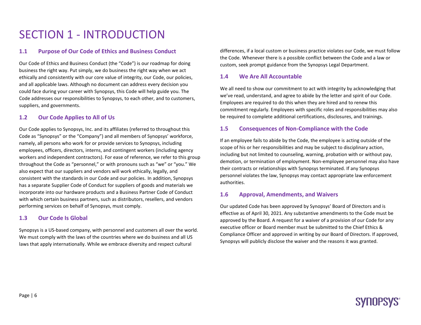# SECTION 1 - INTRODUCTION

#### **1.1 Purpose of Our Code of Ethics and Business Conduct**

Our Code of Ethics and Business Conduct (the "Code") is our roadmap for doing business the right way. Put simply, we do business the right way when we act ethically and consistently with our core value of integrity, our Code, our policies, and all applicable laws. Although no document can address every decision you could face during your career with Synopsys, this Code will help guide you. The Code addresses our responsibilities to Synopsys, to each other, and to customers, suppliers, and governments.

#### **1.2 Our Code Applies to All of Us**

Our Code applies to Synopsys, Inc. and its affiliates (referred to throughout this Code as "Synopsys" or the "Company") and all members of Synopsys' workforce, namely, all persons who work for or provide services to Synopsys, including employees, officers, directors, interns, and contingent workers (including agency workers and independent contractors). For ease of reference, we refer to this group throughout the Code as "personnel," or with pronouns such as "we" or "you." We also expect that our suppliers and vendors will work ethically, legally, and consistent with the standards in our Code and our policies. In addition, Synopsys has a separate Supplier Code of Conduct for suppliers of goods and materials we incorporate into our hardware products and a Business Partner Code of Conduct with which certain business partners, such as distributors, resellers, and vendors performing services on behalf of Synopsys, must comply.

#### **1.3 Our Code Is Global**

Synopsys is a US-based company, with personnel and customers all over the world. We must comply with the laws of the countries where we do business and all US laws that apply internationally. While we embrace diversity and respect cultural

differences, if a local custom or business practice violates our Code, we must follow the Code. Whenever there is a possible conflict between the Code and a law or custom, seek prompt guidance from the Synopsys Legal Department.

#### **1.4 We Are All Accountable**

We all need to show our commitment to act with integrity by acknowledging that we've read, understand, and agree to abide by the letter and spirit of our Code. Employees are required to do this when they are hired and to renew this commitment regularly. Employees with specific roles and responsibilities may also be required to complete additional certifications, disclosures, and trainings.

#### **1.5 Consequences of Non-Compliance with the Code**

If an employee fails to abide by the Code, the employee is acting outside of the scope of his or her responsibilities and may be subject to disciplinary action, including but not limited to counseling, warning, probation with or without pay, demotion, or termination of employment. Non-employee personnel may also have their contracts or relationships with Synopsys terminated. If any Synopsys personnel violates the law, Synopsys may contact appropriate law enforcement authorities.

#### **1.6 Approval, Amendments, and Waivers**

Our updated Code has been approved by Synopsys' Board of Directors and is effective as of April 30, 2021. Any substantive amendments to the Code must be approved by the Board. A request for a waiver of a provision of our Code for any executive officer or Board member must be submitted to the Chief Ethics & Compliance Officer and approved in writing by our Board of Directors. If approved, Synopsys will publicly disclose the waiver and the reasons it was granted.

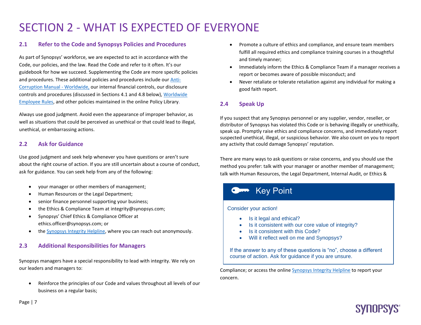# SECTION 2 - WHAT IS EXPECTED OF EVERYONE

#### **2.1 Refer to the Code and Synopsys Policies and Procedures**

As part of Synopsys' workforce, we are expected to act in accordance with the Code, our policies, and the law. Read the Code and refer to it often. It's our guidebook for how we succeed. Supplementing the Code are more specific policies and procedures. These additional policies and procedures include our **Anti-**[Corruption Manual -](https://synopsys.policytech.com/docview/?docid=1445) Worldwide, our internal financial controls, our disclosure controls and procedures (discussed in Sections 4.1 and 4.8 below)[, Worldwide](https://synopsys.policytech.com/docview/?docid=1829)  [Employee Rules,](https://synopsys.policytech.com/docview/?docid=1829) and other policies maintained in the online [Policy Library.](https://synopsys.policytech.com/)

Always use good judgment. Avoid even the appearance of improper behavior, as well as situations that could be perceived as unethical or that could lead to illegal, unethical, or embarrassing actions.

#### **2.2 Ask for Guidance**

Use good judgment and seek help whenever you have questions or aren't sure about the right course of action. If you are still uncertain about a course of conduct, ask for guidance. You can seek help from any of the following:

- your manager or other members of management;
- Human Resources or the Legal Department;
- senior finance personnel supporting your business;
- the Ethics & Compliance Team at [integrity@synopsys.com;](mailto:integrity@synopsys.com)
- Synopsys' Chief Ethics & Compliance Officer at [ethics.officer@synopsys.com;](mailto:ethics.officer@synopsys.com) or
- the [Synopsys Integrity Helpline,](https://secure.ethicspoint.com/domain/media/en/gui/21287/index.html) where you can reach out anonymously.

#### **2.3 Additional Responsibilities for Managers**

Synopsys managers have a special responsibility to lead with integrity. We rely on our leaders and managers to:

• Reinforce the principles of our Code and values throughout all levels of our business on a regular basis;

- Promote a culture of ethics and compliance, and ensure team members fulfill all required ethics and compliance training courses in a thoughtful and timely manner;
- Immediately inform the Ethics & Compliance Team if a manager receives a report or becomes aware of possible misconduct; and
- Never retaliate or tolerate retaliation against any individual for making a good faith report.

#### **2.4 Speak Up**

If you suspect that any Synopsys personnel or any supplier, vendor, reseller, or distributor of Synopsys has violated this Code or is behaving illegally or unethically, speak up. Promptly raise ethics and compliance concerns, and immediately report suspected unethical, illegal, or suspicious behavior. We also count on you to report any activity that could damage Synopsys' reputation.

There are many ways to ask questions or raise concerns, and you should use the method you prefer: talk with your manager or another member of management; talk with Human Resources, the Legal Department, Internal Audit, or Ethics &

### Key Point

#### Consider your action!

- Is it legal and ethical?
- Is it consistent with our core value of integrity?
- Is it consistent with this Code?
- Will it reflect well on me and Synopsys?

If the answer to any of these questions is "no", choose a different course of action. Ask for guidance if you are unsure.

Compliance; or access the onlin[e Synopsys Integrity](https://secure.ethicspoint.com/domain/media/en/gui/21287/index.html) Helpline to report your concern.

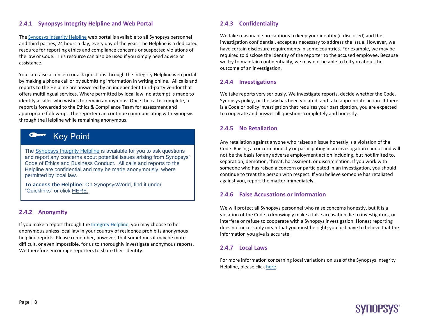#### **2.4.1 Synopsys Integrity Helpline and Web Portal**

Th[e Synopsys Integrity Helpline](https://secure.ethicspoint.com/domain/media/en/gui/21287/index.html) web portal is available to all Synopsys personnel and third parties, 24 hours a day, every day of the year. The Helpline is a dedicated resource for reporting ethics and compliance concerns or suspected violations of the law or Code. This resource can also be used if you simply need advice or assistance.

You can raise a concern or ask questions through the Integrity Helpline web portal by making a phone call or by submitting information in writing online. All calls and reports to the Helpline are answered by an independent third-party vendor that offers multilingual services. Where permitted by local law, no attempt is made to identify a caller who wishes to remain anonymous. Once the call is complete, a report is forwarded to the Ethics & Compliance Team for assessment and appropriate follow-up. The reporter can continue communicating with Synopsys through the Helpline while remaining anonymous.



The [Synopsys Integrity Helpline](https://secure.ethicspoint.com/domain/media/en/gui/21287/index.html) is available for you to ask questions and report any concerns about potential issues arising from Synopsys' Code of Ethics and Business Conduct.All calls and reports to the Helpline are confidential and may be made anonymously, where permitted by local law.

**To access the Helpline:** On SynopsysWorld, find it under "Quicklinks" or click [HERE.](https://secure.ethicspoint.com/domain/media/en/gui/21287/index.html)

#### **2.4.2 Anonymity**

If you make a report through th[e Integrity Helpline,](https://secure.ethicspoint.com/domain/media/en/gui/21287/index.html) you may choose to be anonymous unless local law in your country of residence prohibits anonymous helpline reports. Please remember, however, that sometimes it may be more difficult, or even impossible, for us to thoroughly investigate anonymous reports. We therefore encourage reporters to share their identity.

#### **2.4.3 Confidentiality**

We take reasonable precautions to keep your identity (if disclosed) and the investigation confidential, except as necessary to address the issue. However, we have certain disclosure requirements in some countries. For example, we may be required to disclose the identity of the reporter to the accused employee. Because we try to maintain confidentiality, we may not be able to tell you about the outcome of an investigation.

#### **2.4.4 Investigations**

We take reports very seriously. We investigate reports, decide whether the Code, Synopsys policy, or the law has been violated, and take appropriate action. If there is a Code or policy investigation that requires your participation, you are expected to cooperate and answer all questions completely and honestly.

#### **2.4.5 No Retaliation**

Any retaliation against anyone who raises an issue honestly is a violation of the Code. Raising a concern honestly or participating in an investigation cannot and will not be the basis for any adverse employment action including, but not limited to, separation, demotion, threat, harassment, or discrimination. If you work with someone who has raised a concern or participated in an investigation, you should continue to treat the person with respect. If you believe someone has retaliated against you, report the matter immediately.

#### **2.4.6 False Accusations or Information**

We will protect all Synopsys personnel who raise concerns honestly, but it is a violation of the Code to knowingly make a false accusation, lie to investigators, or interfere or refuse to cooperate with a Synopsys investigation. Honest reporting does not necessarily mean that you must be right; you just have to believe that the information you give is accurate.

#### **2.4.7 Local Laws**

For more information concerning local variations on use of the Synopsys Integrity Helpline, please clic[k here.](https://secure.ethicspoint.com/domain/media/en/gui/21287/index.html)

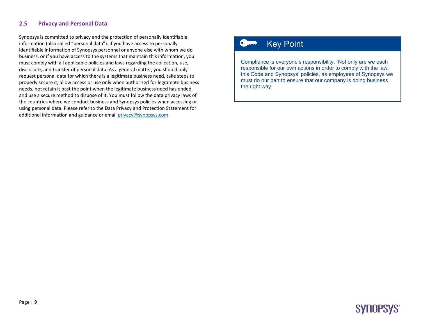#### **2.5 Privacy and Personal Data**

Synopsys is committed to privacy and the protection of personally identifiable information (also called "personal data"). If you have access to personally identifiable information of Synopsys personnel or anyone else with whom we do business, or if you have access to the systems that maintain this information, you must comply with all applicable policies and laws regarding the collection, use, disclosure, and transfer of personal data. As a general matter, you should only request personal data for which there is a legitimate business need, take steps to properly secure it, allow access or use only when authorized for legitimate business needs, not retain it past the point when the legitimate business need has ended, and use a secure method to dispose of it. You must follow the data privacy laws of the countries where we conduct business and Synopsys policies when accessing or using personal data. Please refer to the Data Privacy and Protection Statement for additional information and guidance or email [privacy@synopsys.com.](mailto:privacy@synopsys.com)

### Key Point

Compliance is everyone's responsibility. Not only are we each responsible for our own actions in order to comply with the law, this Code and Synopsys' policies, as employees of Synopsys we must do our part to ensure that our company is doing business the right way.

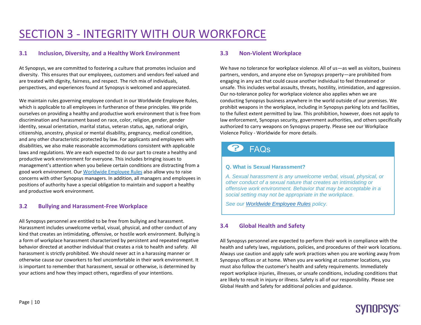# SECTION 3 - INTEGRITY WITH OUR WORKFORCE

#### **3.1 Inclusion, Diversity, and a Healthy Work Environment**

At Synopsys, we are committed to fostering a culture that promotes inclusion and diversity. This ensures that our employees, customers and vendors feel valued and are treated with dignity, fairness, and respect. The rich mix of individuals, perspectives, and experiences found at Synopsys is welcomed and appreciated.

We maintain rules governing employee conduct in our [Worldwide Employee Rules,](https://synopsys.policytech.com/docview/?docid=1829)  which is applicable to all employees in furtherance of these principles. We pride ourselves on providing a healthy and productive work environment that is free from discrimination and harassment based on race, color, religion, gender, gender identity, sexual orientation, marital status, veteran status, age, national origin, citizenship, ancestry, physical or mental disability, pregnancy, medical condition, and any other characteristic protected by law. For applicants and employees with disabilities, we also make reasonable accommodations consistent with applicable laws and regulations. We are each expected to do our part to create a healthy and productive work environment for everyone. This includes bringing issues to management's attention when you believe certain conditions are distracting from a good work environment. Ou[r Worldwide Employee Rules](https://synopsys.policytech.com/docview/?docid=1829) also allow you to raise concerns with other Synopsys managers. In addition, all managers and employees in positions of authority have a special obligation to maintain and support a healthy and productive work environment.

#### **3.2 Bullying and Harassment-Free Workplace**

All Synopsys personnel are entitled to be free from bullying and harassment. Harassment includes unwelcome verbal, visual, physical, and other conduct of any kind that creates an intimidating, offensive, or hostile work environment. Bullying is a form of workplace harassment characterized by persistent and repeated negative behavior directed at another individual that creates a risk to health and safety. All harassment is strictly prohibited. We should never act in a harassing manner or otherwise cause our coworkers to feel uncomfortable in their work environment. It is important to remember that harassment, sexual or otherwise, is determined by your actions and how they impact others, regardless of your intentions.

#### **3.3 Non-Violent Workplace**

We have no tolerance for workplace violence. All of us—as well as visitors, business partners, vendors, and anyone else on Synopsys property—are prohibited from engaging in any act that could cause another individual to feel threatened or unsafe. This includes verbal assaults, threats, hostility, intimidation, and aggression. Our no-tolerance policy for workplace violence also applies when we are conducting Synopsys business anywhere in the world outside of our premises. We prohibit weapons in the workplace, including in Synopsys parking lots and facilities, to the fullest extent permitted by law. This prohibition, however, does not apply to law enforcement, Synopsys security, government authorities, and others specifically authorized to carry weapons on Synopsys property. Please see our [Workplace](https://synopsys.policytech.com/docview/?docid=1647)  [Violence Policy -](https://synopsys.policytech.com/docview/?docid=1647) Worldwide for more details.

## FAQs

#### **Q. What is Sexual Harassment?**

*A. Sexual harassment is any unwelcome verbal, visual, physical, or other conduct of a sexual nature that creates an intimidating or offensive work environment. Behavior that may be acceptable in a social setting may not be appropriate in the workplace.* 

*See our [Worldwide Employee Rules](https://synopsys.policytech.com/docview/?docid=1829) policy.*

#### **3.4 Global Health and Safety**

All Synopsys personnel are expected to perform their work in compliance with the health and safety laws, regulations, policies, and procedures of their work locations. Always use caution and apply safe work practices when you are working away from Synopsys offices or at home. When you are working at customer locations, you must also follow the customer's health and safety requirements. Immediately report workplace injuries, illnesses, or unsafe conditions, including conditions that are likely to result in injury or illness. Safety is all of our responsibility. Please see [Global Health and Safety](http://teamhr/Facilities/Safety_Security/Pages/Safety_Security.aspx) for additional policies and guidance.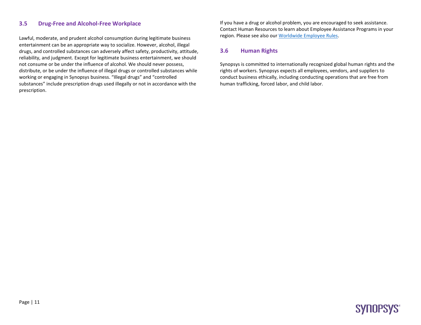#### **3.5 Drug-Free and Alcohol-Free Workplace**

Lawful, moderate, and prudent alcohol consumption during legitimate business entertainment can be an appropriate way to socialize. However, alcohol, illegal drugs, and controlled substances can adversely affect safety, productivity, attitude, reliability, and judgment. Except for legitimate business entertainment, we should not consume or be under the influence of alcohol. We should never possess, distribute, or be under the influence of illegal drugs or controlled substances while working or engaging in Synopsys business. "Illegal drugs" and "controlled substances" include prescription drugs used illegally or not in accordance with the prescription.

If you have a drug or alcohol problem, you are encouraged to seek assistance. Contact [Human Resources](https://teamhr/Pages/ContactUs.aspx) to learn about Employee Assistance Programs in your region. Please see also our Worldwide [Employee Rules.](https://synopsys.policytech.com/docview/?docid=1829)

#### **3.6 Human Rights**

Synopsys is committed to internationally recognized global human rights and the rights of workers. Synopsys expects all employees, vendors, and suppliers to conduct business ethically, including conducting operations that are free from human trafficking, forced labor, and child labor.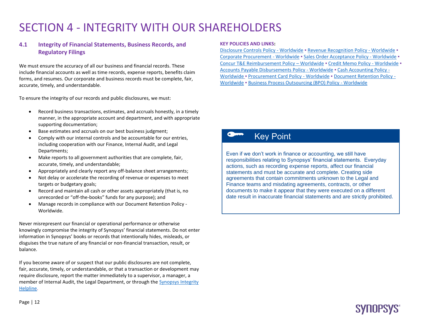# SECTION 4 - INTEGRITY WITH OUR SHAREHOLDERS

#### **4.1 Integrity of Financial Statements, Business Records, and Regulatory Filings**

We must ensure the accuracy of all our business and financial records. These include financial accounts as well as time records, expense reports, benefits claim forms, and resumes. Our corporate and business records must be complete, fair, accurate, timely, and understandable.

To ensure the integrity of our records and public disclosures, we must:

- Record business transactions, estimates, and accruals honestly, in a timely manner, in the appropriate account and department, and with appropriate supporting documentation;
- Base estimates and accruals on our best business judgment;
- Comply with our internal controls and be accountable for our entries, including cooperation with our Finance, Internal Audit, and Legal Departments;
- Make reports to all government authorities that are complete, fair, accurate, timely, and understandable;
- Appropriately and clearly report any off-balance sheet arrangements;
- Not delay or accelerate the recording of revenue or expenses to meet targets or budgetary goals;
- Record and maintain all cash or other assets appropriately (that is, no unrecorded or "off-the-books" funds for any purpose); and
- Manage records in compliance with ou[r Document Retention Policy -](https://synopsys.policytech.com/docview/?docid=1714) [Worldwide.](https://synopsys.policytech.com/docview/?docid=1714)

Never misrepresent our financial or operational performance or otherwise knowingly compromise the integrity of Synopsys' financial statements. Do not enter information in Synopsys' books or records that intentionally hides, misleads, or disguises the true nature of any financial or non-financial transaction, result, or balance.

If you become aware of or suspect that our public disclosures are not complete, fair, accurate, timely, or understandable, or that a transaction or development may require disclosure, report the matter immediately to a supervisor, a manager, a member of Internal Audit, the Legal Department, or through th[e Synopsys Integrity](https://secure.ethicspoint.com/domain/media/en/gui/21287/index.html)  [Helpline.](https://secure.ethicspoint.com/domain/media/en/gui/21287/index.html)

#### **KEY POLICIES AND LINKS:**

[Disclosure Controls Policy -](https://synopsys.policytech.com/docview/?docid=132) Worldwide . [Revenue Recognition Policy -](https://synopsys.policytech.com/docview/?docid=121) Worldwide . [Corporate Procurement -](https://synopsys.policytech.com/docview/?docid=1795) Worldwide · [Sales Order Acceptance Policy -](https://synopsys.policytech.com/docview/?docid=1671) Worldwide · [Concur T&E Reimbursement Policy](https://synopsys.policytech.com/dotNet/documents/?docid=1801) – Worldwide ▪ [Credit Memo Policy -](https://synopsys.policytech.com/docview/?docid=120) Worldwide ▪ [Accounts Payable Disbursements Policy -](https://synopsys.policytech.com/dotNet/documents/?docid=1869) Worldwide ▪ [Cash Accounting Policy -](https://synopsys.policytech.com/docview/?docid=97) [Worldwide](https://synopsys.policytech.com/docview/?docid=97) ▪ [Procurement Card Policy -](https://synopsys.policytech.com/docview/?docid=1799) Worldwide ▪ [Document Retention Policy -](https://synopsys.policytech.com/docview/?docid=1714) [Worldwide](https://synopsys.policytech.com/docview/?docid=1714) ▪ [Business Process Outsourcing \(BPO\) Policy -](https://synopsys.policytech.com/docview/?docid=92) Worldwide

### Key Point

Even if we don't work in finance or accounting, we still have responsibilities relating to Synopsys' financial statements. Everyday actions, such as recording expense reports, affect our financial statements and must be accurate and complete. Creating side agreements that contain commitments unknown to the Legal and Finance teams and misdating agreements, contracts, or other documents to make it appear that they were executed on a different date result in inaccurate financial statements and are strictly prohibited.

**SYNUPSYS** 

Page | 12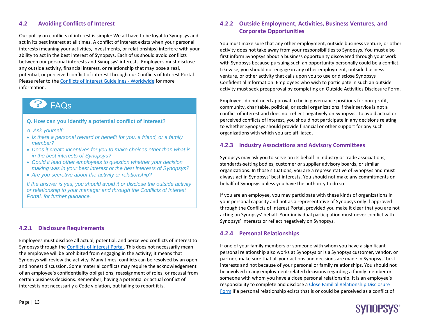#### **4.2 Avoiding Conflicts of Interest**

Our policy on conflicts of interest is simple: We all have to be loyal to Synopsys and act in its best interest at all times. A conflict of interest exists when your personal interests (meaning your activities, investments, or relationships) interfere with your ability to act in the best interest of Synopsys. Each of us should avoid conflicts between our personal interests and Synopsys' interests. Employees must disclose any outside activity, financial interest, or relationship that may pose a real, potential, or perceived conflict of interest through ou[r Conflicts of Interest Portal.](https://sp-fin/sites/coi/default.aspx) Please refer to the [Conflicts of Interest Guidelines](https://synopsys.policytech.com/docview/?docid=1376) - Worldwide for more information.

## **P** FAQS

#### **Q. How can you identify a potential conflict of interest?**

- *A. Ask yourself:*
- *Is there a personal reward or benefit for you, a friend, or a family member?*
- *Does it create incentives for you to make choices other than what is in the best interests of Synopsys?*
- *Could it lead other employees to question whether your decision making was in your best interest or the best interests of Synopsys?*
- *Are you secretive about the activity or relationship?*

*If the answer is yes, you should avoid it or disclose the outside activity or relationship to your manager and through the Conflicts of Interest Portal, for further guidance.*

#### **4.2.1 Disclosure Requirements**

Employees must disclose all actual, potential, and perceived conflicts of interest to Synopsys through the [Conflicts of Interest](http://sp-fin/sites/coi/default.aspx) Portal. This does not necessarily mean the employee will be prohibited from engaging in the activity; it means that Synopsys will review the activity. Many times, conflicts can be resolved by an open and honest discussion. Some material conflicts may require the acknowledgement of an employee's confidentiality obligations, reassignment of roles, or recusal from certain business decisions. Remember, having a potential or actual conflict of interest is not necessarily a Code violation, but failing to report it is.

#### **4.2.2 Outside Employment, Activities, Business Ventures, and Corporate Opportunities**

You must make sure that any other employment, outside business venture, or other activity does not take away from your responsibilities to Synopsys. You must also first inform Synopsys about a business opportunity discovered through your work with Synopsys because pursuing such an opportunity personally could be a conflict. Likewise, you should not engage in any other employment, outside business venture, or other activity that calls upon you to use or disclose Synopsys Confidential Information. Employees who wish to participate in such an outside activity must seek preapproval by completing an [Outside Activities Disclosure Form.](http://sp-fin/sites/coi/_layouts/FormServer.aspx?XsnLocation=http://sp-fin/sites/coi/OAD/Forms/template.xsn&SaveLocation=http%3A%2F%2Fsp%2Dfin%2Fsites%2Fcoi%2FOAD&Source=http://sp-fin/sites/coi/default.aspx&DefaultItemOpen=1)

Employees do not need approval to be in governance positions for non-profit, community, charitable, political, or social organizations if their service is not a conflict of interest and does not reflect negatively on Synopsys. To avoid actual or perceived conflicts of interest, you should not participate in any decisions relating to whether Synopsys should provide financial or other support for any such organizations with which you are affiliated.

#### **4.2.3 Industry Associations and Advisory Committees**

Synopsys may ask you to serve on its behalf in industry or trade associations, standards-setting bodies, customer or supplier advisory boards, or similar organizations. In those situations, you are a representative of Synopsys and must always act in Synopsys' best interests. You should not make any commitments on behalf of Synopsys unless you have the authority to do so.

If you are an employee, you may participate with these kinds of organizations in your personal capacity and not as a representative of Synopsys only if approved through th[e Conflicts of Interest Portal,](https://sp-fin/sites/coi/default.aspx) provided you make it clear that you are not acting on Synopsys' behalf. Your individual participation must never conflict with Synopsys' interests or reflect negatively on Synopsys.

#### **4.2.4 Personal Relationships**

If one of your family members or someone with whom you have a significant personal relationship also works at Synopsys or is a Synopsys customer, vendor, or partner, make sure that all your actions and decisions are made in Synopsys' best interests and not because of your personal or family relationships. You should not be involved in any employment-related decisions regarding a family member or someone with whom you have a close personal relationship. It is an employee's responsibility to complete and disclose a Close [Familial Relationship Disclosure](http://sp-fin/sites/coi/_layouts/FormServer.aspx?XsnLocation=http://sp-fin/sites/coi/CFRD/Forms/template.xsn&SaveLocation=http%3A%2F%2Fsp%2Dfin%2Fsites%2Fcoi%2FCFRD&Source=http://sp-fin/sites/coi/default.aspx&.aspx&DefaultItemOpen=1)  [Form](http://sp-fin/sites/coi/_layouts/FormServer.aspx?XsnLocation=http://sp-fin/sites/coi/CFRD/Forms/template.xsn&SaveLocation=http%3A%2F%2Fsp%2Dfin%2Fsites%2Fcoi%2FCFRD&Source=http://sp-fin/sites/coi/default.aspx&.aspx&DefaultItemOpen=1) if a personal relationship exists that is or could be perceived as a conflict of

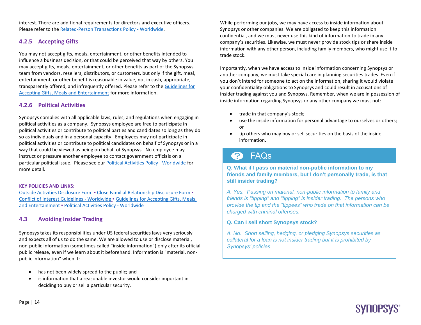interest. There are additional requirements for directors and executive officers. Please refer to the [Related-Person Transactions Policy](https://synopsys.policytech.com/docview/?docid=1392) - Worldwide.

#### **4.2.5 Accepting Gifts**

You may not accept gifts, meals, entertainment, or other benefits intended to influence a business decision, or that could be perceived that way by others. You may accept gifts, meals, entertainment, or other benefits as part of the Synopsys team from vendors, resellers, distributors, or customers, but only if the gift, meal, entertainment, or other benefit is reasonable in value, not in cash, appropriate, transparently offered, and infrequently offered. Please refer to the [Guidelines for](https://sp-fin/sites/ChiefFinOfficer/Legal/FCPA/Documents/Accepting%20Gifts%20and%20Entertainment%20Guidelines%20%20-%20FINAL%208.22.18.pdf)  [Accepting Gifts, Meals and Entertainment](https://sp-fin/sites/ChiefFinOfficer/Legal/FCPA/Documents/Accepting%20Gifts%20and%20Entertainment%20Guidelines%20%20-%20FINAL%208.22.18.pdf) for more information.

#### **4.2.6 Political Activities**

Synopsys complies with all applicable laws, rules, and regulations when engaging in political activities as a company. Synopsys employee are free to participate in political activities or contribute to political parties and candidates so long as they do so as individuals and in a personal capacity. Employees may not participate in political activities or contribute to political candidates on behalf of Synopsys or in a way that could be viewed as being on behalf of Synopsys. No employee may instruct or pressure another employee to contact government officials on a particular political issue. Please see our [Political Activities Policy](https://synopsys.policytech.com/docview/?docid=1367) - Worldwide for more detail.

#### **KEY POLICIES AND LINKS:**

[Outside Activities Disclosure Form](http://sp-fin/sites/coi/_layouts/FormServer.aspx?XsnLocation=http://sp-fin/sites/coi/OAD/Forms/template.xsn&SaveLocation=http%3A%2F%2Fsp%2Dfin%2Fsites%2Fcoi%2FOAD&Source=http://sp-fin/sites/coi/default.aspx&DefaultItemOpen=1) ▪ [Close Familial Relationship Disclosure Form](http://sp-fin/sites/coi/_layouts/FormServer.aspx?XsnLocation=http://sp-fin/sites/coi/CFRD/Forms/template.xsn&SaveLocation=http%3A%2F%2Fsp%2Dfin%2Fsites%2Fcoi%2FCFRD&Source=http://sp-fin/sites/coi/default.aspx&.aspx&DefaultItemOpen=1) ▪ [Conflict of Interest Guidelines -](https://synopsys.policytech.com/docview/?docid=1376) Worldwide ▪ [Guidelines for Accepting Gifts, Meals,](https://sp-fin/sites/ChiefFinOfficer/Legal/FCPA/Documents/Accepting%20Gifts%20and%20Entertainment%20Guidelines%20%20-%20FINAL%208.22.18.pdf)  [and Entertainment](https://sp-fin/sites/ChiefFinOfficer/Legal/FCPA/Documents/Accepting%20Gifts%20and%20Entertainment%20Guidelines%20%20-%20FINAL%208.22.18.pdf) ▪ [Political Activities Policy](https://synopsys.policytech.com/docview/?docid=1367) - Worldwide

#### **4.3 Avoiding Insider Trading**

Synopsys takes its responsibilities under US federal securities laws very seriously and expects all of us to do the same. We are allowed to use or disclose material, non-public information (sometimes called "inside information") only after its official public release, even if we learn about it beforehand. Information is "material, nonpublic information" when it:

- has not been widely spread to the public; and
- is information that a reasonable investor would consider important in deciding to buy or sell a particular security.

While performing our jobs, we may have access to inside information about Synopsys or other companies. We are obligated to keep this information confidential, and we must never use this kind of information to trade in any company's securities. Likewise, we must never provide stock tips or share inside information with any other person, including family members, who might use it to trade stock.

Importantly, when we have access to inside information concerning Synopsys or another company, we must take special care in planning securities trades. Even if you don't intend for someone to act on the information, sharing it would violate your confidentiality obligations to Synopsys and could result in accusations of insider trading against you and Synopsys. Remember, when we are in possession of inside information regarding Synopsys or any other company we must not:

- trade in that company's stock;
- use the inside information for personal advantage to ourselves or others; or
- tip others who may buy or sell securities on the basis of the inside information.

## **P** FAQs

**Q. What if I pass on material non-public information to my friends and family members, but I don't personally trade, is that still insider trading?** 

*A. Yes. Passing on material, non-public information to family and friends is "tipping" and "tipping" is insider trading. The persons who provide the tip and the "tippees" who trade on that information can be charged with criminal offenses.*

#### **Q. Can I sell short Synopsys stock?**

*A. No. Short selling, hedging, or pledging Synopsys securities as collateral for a loan is not insider trading but it is prohibited by Synopsys' policies.* 

**SYNOPSYS**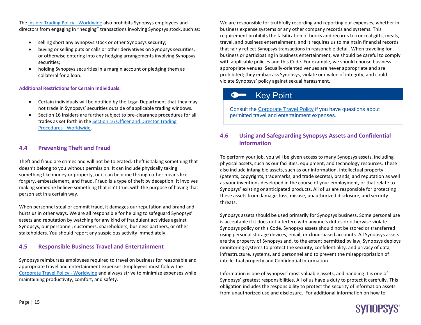Th[e Insider Trading Policy](https://synopsys.policytech.com/docview/?docid=1262) - Worldwide also prohibits Synopsys employees and directors from engaging in "hedging" transactions involving Synopsys stock, such as:

- selling short any Synopsys stock or other Synopsys security;
- buying or selling puts or calls or other derivatives on Synopsys securities, or otherwise entering into any hedging arrangements involving Synopsys securities;
- holding Synopsys securities in a margin account or pledging them as collateral for a loan.

#### **Additional Restrictions for Certain Individuals:**

- Certain individuals will be notified by the Legal Department that they may not trade in Synopsys' securities outside of applicable trading windows.
- Section 16 Insiders are further subject to pre-clearance procedures for all trades as set forth in the [Section 16 Officer and Director Trading](https://synopsys.policytech.com/docview/?docid=1330)  Procedures - [Worldwide.](https://synopsys.policytech.com/docview/?docid=1330)

#### **4.4 Preventing Theft and Fraud**

Theft and fraud are crimes and will not be tolerated. Theft is taking something that doesn't belong to you without permission. It can include physically taking something like money or property, or it can be done through other means like forgery, embezzlement, and fraud. Fraud is a type of theft by deception. It involves making someone believe something that isn't true, with the purpose of having that person act in a certain way.

When personnel steal or commit fraud, it damages our reputation and brand and hurts us in other ways. We are all responsible for helping to safeguard Synopsys' assets and reputation by watching for any kind of fraudulent activities against Synopsys, our personnel, customers, shareholders, business partners, or other stakeholders. You should report any suspicious activity immediately.

#### **4.5 Responsible Business Travel and Entertainment**

Synopsys reimburses employees required to travel on business for reasonable and appropriate travel and entertainment expenses. Employees must follow the [Corporate Travel Policy](https://synopsys.policytech.com/docview/?docid=1698) - Worldwide and always strive to minimize expenses while maintaining productivity, comfort, and safety.

We are responsible for truthfully recording and reporting our expenses, whether in business expense systems or any other company records and systems. This requirement prohibits the falsification of books and records to conceal gifts, meals, travel, and business entertainment, and it requires us to maintain financial records that fairly reflect Synopsys transactions in reasonable detail. When traveling for business or participating in business entertainment, we should be careful to comply with applicable policies and this Code. For example, we should choose businessappropriate venues. Sexually-oriented venues are never appropriate and are prohibited; they embarrass Synopsys, violate our value of integrity, and could violate Synopsys' policy against sexual harassment.

## Key Point

Consult the [Corporate Travel Policy](https://synopsys.policytech.com/docview/?docid=1698) if you have questions about permitted travel and entertainment expenses.

#### **4.6 Using and Safeguarding Synopsys Assets and Confidential Information**

To perform your job, you will be given access to many Synopsys assets, including physical assets, such as our facilities, equipment, and technology resources. These also include intangible assets, such as our information, intellectual property (patents, copyrights, trademarks, and trade secrets), brands, and reputation as well as your inventions developed in the course of your employment, or that relate to Synopsys' existing or anticipated products. All of us are responsible for protecting these assets from damage, loss, misuse, unauthorized disclosure, and security threats.

Synopsys assets should be used primarily for Synopsys business. Some personal use is acceptable if it does not interfere with anyone's duties or otherwise violate Synopsys policy or this Code. Synopsys assets should not be stored or transferred using personal storage devices, email, or cloud-based accounts. All Synopsys assets are the property of Synopsys and, to the extent permitted by law, Synopsys deploys monitoring systems to protect the security, confidentiality, and privacy of data, infrastructure, systems, and personnel and to prevent the misappropriation of intellectual property and Confidential Information.

Information is one of Synopsys' most valuable assets, and handling it is one of Synopsys' greatest responsibilities. All of us have a duty to protect it carefully. This obligation includes the responsibility to protect the security of information assets from unauthorized use and disclosure. For additional information on how to

# **SYNOPSYS**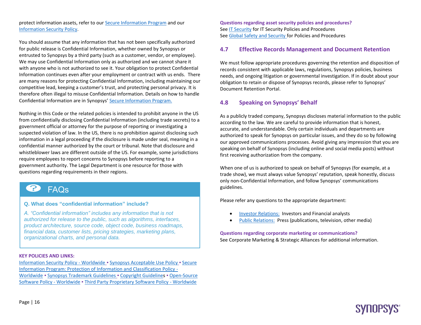protect information assets, refer to our **Secure Information Program** and our [Information Security Policy.](https://synopsys.policytech.com/docview/?docid=1758) 

You should assume that any information that has not been specifically authorized for public release is Confidential Information, whether owned by Synopsys or entrusted to Synopsys by a third party (such as a customer, vendor, or employee). We may use Confidential Information only as authorized and we cannot share it with anyone who is not authorized to see it. Your obligation to protect Confidential Information continues even after your employment or contract with us ends. There are many reasons for protecting Confidential Information, including maintaining our competitive lead, keeping a customer's trust, and protecting personal privacy. It is therefore often illegal to misuse Confidential Information. Details on how to handle Confidential Information are in Synopsys' [Secure Information Program.](http://sp-fin/sites/ChiefFinOfficer/Legal/SIP/Pages/Default.aspx)

Nothing in this Code or the related policies is intended to prohibit anyone in the US from confidentially disclosing Confidential Information (including trade secrets) to a government official or attorney for the purpose of reporting or investigating a suspected violation of law. In the US, there is no prohibition against disclosing such information in a legal proceeding if the disclosure is made under seal, meaning in a confidential manner authorized by the court or tribunal. Note that disclosure and whistleblower laws are different outside of the US. For example, some jurisdictions require employees to report concerns to Synopsys before reporting to a government authority. The Legal Department is one resource for those with questions regarding requirements in their regions.

## **B** FAQS

**Q. What does "confidential information" include?**

*A. "Confidential information" includes any information that is not authorized for release to the public, such as algorithms, interfaces, product architecture, source code, object code, business roadmaps, financial data, customer lists, pricing strategies, marketing plans, organizational charts, and personal data.*

#### **KEY POLICIES AND LINKS:**

[Information Security Policy -](https://synopsys.policytech.com/docview/?docid=1758) Worldwide ▪ [Synopsys Acceptable Use Policy](https://synopsys.policytech.com/docview/?docid=1764) ▪ [Secure](https://synopsys.policytech.com/dotNet/documents/?docid=1713)  [Information Program: Protection of Information and Classification Policy -](https://synopsys.policytech.com/dotNet/documents/?docid=1713) [Worldwide](https://synopsys.policytech.com/dotNet/documents/?docid=1713) ▪ [Synopsys Trademark Guidelines](http://sp-fin/sites/ChiefFinOfficer/Legal/CorporateGroup/trademarks/Pages/Default.aspx) ▪ [Copyright Guidelines](https://sp-fin/sites/ChiefFinOfficer/Legal/Copyright/Documents/SNPS%20Copyright%20Guide%20updated%20Apr%2025%202016.pdf) ▪ [Open-Source](https://synopsys.policytech.com/docview/?docid=1842)  [Software Policy -](https://synopsys.policytech.com/docview/?docid=1842) Worldwide . [Third Party Proprietary Software Policy](https://synopsys.policytech.com/docview/?docid=1658) - Worldwide

**Questions regarding asset security policies and procedures?**  See [IT Security](https://itweb/Pages/Security.aspx) for IT Security Policies and Procedures See [Global Safety and Security](https://synopsys.sharepoint.com/sites/Safety_Security) for Policies and Procedures

#### **4.7 Effective Records Management and Document Retention**

We must follow appropriate procedures governing the retention and disposition of records consistent with applicable laws, regulations, Synopsys policies, business needs, and ongoing litigation or governmental investigation. If in doubt about your obligation to retain or dispose of Synopsys records, please refer to Synopsys' [Document Retention Portal.](https://sp-fin/sites/ChiefFinOfficer/Legal/IP%20%20Litigation%20Group/docretention/Pages/Default.aspx)

#### **4.8 Speaking on Synopsys' Behalf**

As a publicly traded company, Synopsys discloses material information to the public according to the law. We are careful to provide information that is honest, accurate, and understandable. Only certain individuals and departments are authorized to speak for Synopsys on particular issues, and they do so by following our approved communications processes. Avoid giving any impression that you are speaking on behalf of Synopsys (including online and social media posts) without first receiving authorization from the company.

When one of us is authorized to speak on behalf of Synopsys (for example, at a trade show), we must always value Synopsys' reputation, speak honestly, discuss only non-Confidential Information, and follow Synopsys' communications guidelines.

Please refer any questions to the appropriate department:

- [Investor Relations:](https://www.synopsys.com/company/investor-relations/investor-relations-contact.html) Investors and Financial analysts
- [Public Relations:](https://synopsys.sharepoint.com/sites/corp-pr) Press (publications, television, other media)

**SYNOPSYS** 

#### **Questions regarding corporate marketing or communications?** See [Corporate Marketing & Strategic Alliances](http://sp-mg/sites/marketing/default.aspx) for additional information.

Page | 16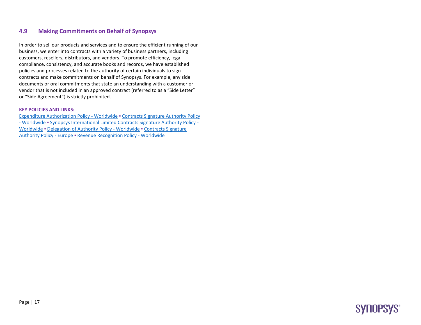#### **4.9 Making Commitments on Behalf of Synopsys**

In order to sell our products and services and to ensure the efficient running of our business, we enter into contracts with a variety of business partners, including customers, resellers, distributors, and vendors. To promote efficiency, legal compliance, consistency, and accurate books and records, we have established policies and processes related to the authority of certain individuals to sign contracts and make commitments on behalf of Synopsys. For example, any side documents or oral commitments that state an understanding with a customer or vendor that is not included in an approved contract (referred to as a "Side Letter" or "Side Agreement") is strictly prohibited.

#### **KEY POLICIES AND LINKS:**

[Expenditure Authorization Policy -](https://synopsys.policytech.com/docview/?docid=1638) Worldwide **▪** [Contracts Signature Authority Policy](https://synopsys.policytech.com/docview/?docid=1322)  - [Worldwide](https://synopsys.policytech.com/docview/?docid=1322) **▪** [Synopsys International Limited Contracts Signature Authority Policy -](https://synopsys.policytech.com/docview/?docid=85) [Worldwide](https://synopsys.policytech.com/docview/?docid=85) **▪** [Delegation of Authority Policy -](https://synopsys.policytech.com/docview/?docid=127) Worldwide **▪** [Contracts Signature](https://synopsys.policytech.com/docview/?docid=189)  [Authority Policy -](https://synopsys.policytech.com/docview/?docid=189) Europe **▪** [Revenue Recognition Policy -](https://synopsys.policytech.com/docview/?docid=121) Worldwide

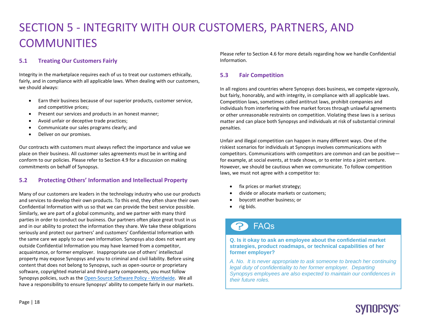# SECTION 5 - INTEGRITY WITH OUR CUSTOMERS, PARTNERS, AND **COMMUNITIES**

#### **5.1 Treating Our Customers Fairly**

Integrity in the marketplace requires each of us to treat our customers ethically, fairly, and in compliance with all applicable laws. When dealing with our customers, we should always:

- Earn their business because of our superior products, customer service, and competitive prices;
- Present our services and products in an honest manner;
- Avoid unfair or deceptive trade practices;
- Communicate our sales programs clearly; and
- Deliver on our promises.

Our contracts with customers must always reflect the importance and value we place on their business. All customer sales agreements must be in writing and conform to our policies. Please refer to Section 4.9 for a discussion on making commitments on behalf of Synopsys.

#### **5.2 Protecting Others' Information and Intellectual Property**

Many of our customers are leaders in the technology industry who use our products and services to develop their own products. To this end, they often share their own Confidential Information with us so that we can provide the best service possible. Similarly, we are part of a global community, and we partner with many third parties in order to conduct our business. Our partners often place great trust in us and in our ability to protect the information they share. We take these obligations seriously and protect our partners' and customers' Confidential Information with the same care we apply to our own information. Synopsys also does not want any outside Confidential Information you may have learned from a competitor, acquaintance, or former employer. Inappropriate use of others' intellectual property may expose Synopsys and you to criminal and civil liability. Before using content that does not belong to Synopsys, such as open-source or proprietary software, copyrighted material and third-party components, you must follow Synopsys policies, such as th[e Open-Source Software Policy -](https://synopsys.policytech.com/docview/?docid=1842) Worldwide. We all have a responsibility to ensure Synopsys' ability to compete fairly in our markets.

Please refer to Section 4.6 for more details regarding how we handle Confidential Information.

#### **5.3 Fair Competition**

In all regions and countries where Synopsys does business, we compete vigorously, but fairly, honorably, and with integrity, in compliance with all applicable laws. Competition laws, sometimes called antitrust laws, prohibit companies and individuals from interfering with free market forces through unlawful agreements or other unreasonable restraints on competition. Violating these laws is a serious matter and can place both Synopsys and individuals at risk of substantial criminal penalties.

Unfair and illegal competition can happen in many different ways. One of the riskiest scenarios for individuals at Synopsys involves communications with competitors. Communications with competitors are common and can be positive for example, at social events, at trade shows, or to enter into a joint venture. However, we should be cautious when we communicate. To follow competition laws, we must not agree with a competitor to:

- fix prices or market strategy;
- divide or allocate markets or customers;
- boycott another business; or
- rig bids.

## FAQs

**Q. Is it okay to ask an employee about the confidential market strategies, product roadmaps, or technical capabilities of her former employer?**

*A. No. It is never appropriate to ask someone to breach her continuing legal duty of confidentiality to her former employer. Departing Synopsys employees are also expected to maintain our confidences in their future roles.*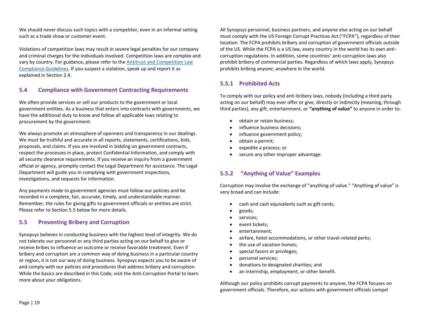We should never discuss such topics with a competitor, even in an informal setting such as a trade show or customer event.

Violations of competition laws may result in severe legal penalties for our company and criminal charges for the individuals involved. Competition laws are complex and vary by country. For guidance, please refer to the [Antitrust and Competition Law](https://sp-fin/sites/ChiefFinOfficer/Legal/Antitrust/SitePages/Home.aspx)  [Compliance Guidelines.](https://sp-fin/sites/ChiefFinOfficer/Legal/Antitrust/SitePages/Home.aspx) If you suspect a violation, speak up and report it as explained in Section 2.4.

#### **5.4 Compliance with Government Contracting Requirements**

We often provide services or sell our products to the government or local government entities. As a business that enters into contracts with governments, we have the additional duty to know and follow all applicable laws relating to procurement by the government.

We always promote an atmosphere of openness and transparency in our dealings. We must be truthful and accurate in all reports, statements, certifications, bids, proposals, and claims. If you are involved in bidding on government contracts, respect the processes in place, protect Confidential Information, and comply with all security clearance requirements. If you receive an inquiry from a government official or agency, promptly contact the Legal Department for assistance. The Legal Department will guide you in complying with government inspections, investigations, and requests for information.

Any payments made to government agencies must follow our policies and be recorded in a complete, fair, accurate, timely, and understandable manner. Remember, the rules for giving gifts to government officials or entities are strict. Please refer to Section 5.5 below for more details.

#### **5.5 Preventing Bribery and Corruption**

Synopsys believes in conducting business with the highest level of integrity. We do not tolerate our personnel or any third parties acting on our behalf to give or receive bribes to influence an outcome or receive favorable treatment. Even if bribery and corruption are a common way of doing business in a particular country or region, it is not our way of doing business. Synopsys expects you to be aware of and comply with our policies and procedures that address bribery and corruption. While the basics are described in this Code, visit the [Anti-Corruption Portal](https://sp-fin/sites/ChiefFinOfficer/Legal/FCPA/Pages/Welcome.aspx) to learn more about your obligations.

All Synopsys personnel, business partners, and anyone else acting on our behalf must comply with the US Foreign Corrupt Practices Act ("FCPA"), regardless of their location. The FCPA prohibits bribery and corruption of government officials outside of the US. While the FCPA is a US law, every country in the world has its own anticorruption regulations. In addition, some countries' anti-corruption laws also prohibit bribery of commercial parties. Regardless of which laws apply, Synopsys prohibits bribing *anyone*, anywhere in the world.

#### **5.5.1 Prohibited Acts**

To comply with our policy and anti-bribery laws, nobody (including a third party acting on our behalf) may ever offer or give, directly or indirectly (meaning, through third parties), any gift, entertainment, or **"anything of value"** to anyone in order to:

- obtain or retain business;
- influence business decisions;
- influence government policy;
- obtain a permit;
- expedite a process; or
- secure any other improper advantage.

#### **5.5.2 "Anything of Value" Examples**

Corruption may involve the exchange of "anything of value." "Anything of value" is very broad and can include:

- cash and cash equivalents such as gift cards;
- goods;
- services;
- event tickets;
- entertainment;
- airfare, hotel accommodations, or other travel-related perks;
- the use of vacation homes;
- special favors or privileges;
- personal services;
- donations to designated charities; and
- an internship, employment, or other benefit.

Although our policy prohibits corrupt payments to anyone, the FCPA focuses on government officials. Therefore, our actions with government officials compel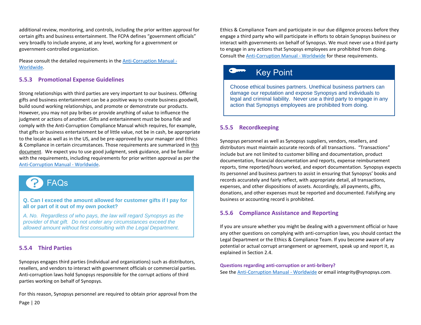additional review, monitoring, and controls, including the prior written approval for certain gifts and business entertainment. The FCPA defines "government officials" very broadly to include anyone, at any level, working for a government or government-controlled organization.

Please consult the detailed requirements in the [Anti-Corruption](https://synopsys.policytech.com/docview/?docid=1445) Manual - [Worldwide.](https://synopsys.policytech.com/docview/?docid=1445)

#### **5.5.3 Promotional Expense Guidelines**

Strong relationships with third parties are very important to our business. Offering gifts and business entertainment can be a positive way to create business goodwill, build sound working relationships, and promote or demonstrate our products. However, you may not pay bribes or provide anything of value to influence the judgment or actions of another. Gifts and entertainment must be bona fide and comply with the [Anti-Corruption Compliance Manual](https://sp-fin/sites/ChiefFinOfficer/Legal/FCPA/Documents/Anti-Corruption%20Compliance%20Manual.pdf) which requires, for example, that gifts or business entertainment be of little value, not be in cash, be appropriate to the locale as well as in the US, and be pre-approved by your manager and Ethics & Compliance in certain circumstances. Those requirements are summarized i[n this](https://sp-fin/sites/ChiefFinOfficer/Legal/Ethics/Document%20Library/Promotional%20Expenses%20At-A-Glance.pdf)  [document.](https://sp-fin/sites/ChiefFinOfficer/Legal/Ethics/Document%20Library/Promotional%20Expenses%20At-A-Glance.pdf) We expect you to use good judgment, seek guidance, and be familiar with the requirements, including requirements for prior written approval as per the [Anti-Corruption](https://synopsys.policytech.com/docview/?docid=1445) Manual - Worldwide.

# FAQs

**Q. Can I exceed the amount allowed for customer gifts if I pay for all or part of it out of my own pocket?**

*A. No. Regardless of who pays, the law will regard Synopsys as the provider of that gift. Do not under any circumstances exceed the allowed amount without first consulting with the Legal Department.*

#### **5.5.4 Third Parties**

Synopsys engages third parties (individual and organizations) such as distributors, resellers, and vendors to interact with government officials or commercial parties. Anti-corruption laws hold Synopsys responsible for the corrupt actions of third parties working on behalf of Synopsys.

Page | 20 For this reason, Synopsys personnel are required to obtain prior approval from the

Ethics & Compliance Team and participate in our due diligence process before they engage a third party who will participate in efforts to obtain Synopsys business or interact with governments on behalf of Synopsys. We must never use a third party to engage in any actions that Synopsys employees are prohibited from doing. Consult the [Anti-Corruption](https://synopsys.policytech.com/docview/?docid=1445) Manual - Worldwide for these requirements.

## Key Point

Choose ethical busines partners. Unethical business partners can damage our reputation and expose Synopsys and individuals to legal and criminal liability. Never use a third party to engage in any action that Synopsys employees are prohibited from doing.

#### **5.5.5 Recordkeeping**

Synopsys personnel as well as Synopsys suppliers, vendors, resellers, and distributors must maintain accurate records of all transactions. "Transactions" include but are not limited to customer billing and documentation, product documentation, financial documentation and reports, expense reimbursement reports, time reported/hours worked, and export documentation. Synopsys expects its personnel and business partners to assist in ensuring that Synopsys' books and records accurately and fairly reflect, with appropriate detail, all transactions, expenses, and other dispositions of assets. Accordingly, all payments, gifts, donations, and other expenses must be reported and documented. Falsifying any business or accounting record is prohibited.

#### **5.5.6 Compliance Assistance and Reporting**

If you are unsure whether you might be dealing with a government official or have any other questions on complying with anti-corruption laws, you should contact the Legal Department or the Ethics & Compliance Team. If you become aware of any potential or actual corrupt arrangement or agreement, speak up and report it, as explained in Section 2.4.

#### **Questions regarding anti-corruption or anti-bribery?**

See th[e Anti-Corruption](https://synopsys.policytech.com/docview/?docid=1445) Manual - Worldwide or email [integrity@synopsys.com.](mailto:integrity@synopsys.com)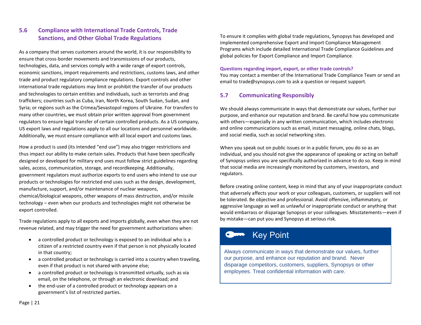#### **5.6 Compliance with International Trade Controls, Trade Sanctions, and Other Global Trade Regulations**

As a company that serves customers around the world, it is our responsibility to ensure that cross-border movements and transmissions of our products, technologies, data, and services comply with a wide range of export controls, economic sanctions, import requirements and restrictions, customs laws, and other trade and product regulatory compliance regulations. Export controls and other international trade regulations may limit or prohibit the transfer of our products and technologies to certain entities and individuals, such as terrorists and drug traffickers; countries such as Cuba, Iran, North Korea, South Sudan, Sudan, and Syria; or regions such as the Crimea/Sevastopol regions of Ukraine. For transfers to many other countries, we must obtain prior written approval from government regulators to ensure legal transfer of certain controlled products. As a US company, US export laws and regulations apply to all our locations and personnel worldwide. Additionally, we must ensure compliance with all local export and customs laws.

How a product is used (its intended "end use") may also trigger restrictions and thus impact our ability to make certain sales. Products that have been specifically designed or developed for military end uses must follow strict guidelines regarding sales, access, communication, storage, and recordkeeping. Additionally, government regulators must authorize exports to end users who intend to use our products or technologies for restricted end uses such as the design, development, manufacture, support, and/or maintenance of nuclear weapons, chemical/biological weapons, other weapons of mass destruction, and/or missile technology – even when our products and technologies might not otherwise be export controlled.

Trade regulations apply to all exports and imports globally, even when they are not revenue related, and may trigger the need for government authorizations when:

- a controlled product or technology is exposed to an individual who is a citizen of a restricted country even if that person is not physically located in that country;
- a controlled product or technology is carried into a country when traveling, even if that product is not shared with anyone else;
- a controlled product or technology is transmitted virtually, such as via email, on the telephone, or through an electronic download; and
- the end-user of a controlled product or technology appears on a government's list of restricted parties.

To ensure it complies with global trade regulations, Synopsys has developed and implemented comprehensive Export and Import Compliance Management Programs which include detailed [International Trade Compliance Guidelines](https://sp-fin/sites/ChiefFinOfficer/Operations/Traffic%20and%20Export/default.aspx?PageView=Shared&InitialTabId=Ribbon.WebPartPage&VisibilityContext=WSSWebPartPage) and global policies for [Export Compliance](https://synopsys.policytech.com/dotNet/documents/?docid=1321) and [Import Compliance.](https://synopsys.policytech.com/dotNet/documents/?docid=1323)

#### **Questions regarding import, export, or other trade controls?**

You may contact a member of the [International Trade Compliance Team](https://sp-fin/sites/ChiefFinOfficer/Operations/Traffic%20and%20Export/TrafficandExportInfo/Lists/Local%20Export%20Contacts/AllItems.aspx) or send an email t[o trade@synopsys.com](mailto:trade@synopsys.com) to ask a question or request support.

#### **5.7 Communicating Responsibly**

We should always communicate in ways that demonstrate our values, further our purpose, and enhance our reputation and brand. Be careful how you communicate with others—especially in any written communication, which includes electronic and online communications such as email, instant messaging, online chats, blogs, and social media, such as social networking sites.

When you speak out on public issues or in a public forum, you do so as an individual, and you should not give the appearance of speaking or acting on behalf of Synopsys unless you are specifically authorized in advance to do so. Keep in mind that social media are increasingly monitored by customers, investors, and regulators.

Before creating online content, keep in mind that any of your inappropriate conduct that adversely affects your work or your colleagues, customers, or suppliers will not be tolerated. Be objective and professional. Avoid offensive, inflammatory, or aggressive language as well as unlawful or inappropriate conduct or anything that would embarrass or disparage Synopsys or your colleagues. Misstatements—even if by mistake—can put you and Synopsys at serious risk.

## Key Point

Always communicate in ways that demonstrate our values, further our purpose, and enhance our reputation and brand. Never disparage competitors, customers, suppliers, Synopsys or other employees. Treat confidential information with care.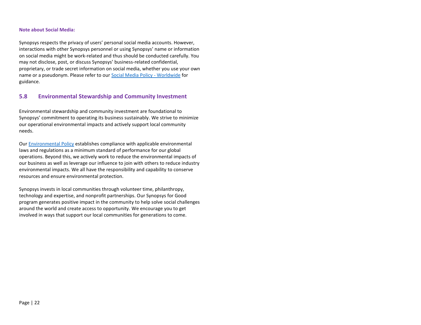#### **Note about Social Media:**

Synopsys respects the privacy of users' personal social media accounts. However, interactions with other Synopsys personnel or using Synopsys' name or information on social media might be work-related and thus should be conducted carefully. You may not disclose, post, or discuss Synopsys' business-related confidential, proprietary, or trade secret information on social media, whether you use your own name or a pseudonym. Please refer to ou[r Social Media Policy](https://synopsys.policytech.com/docview/?docid=1824) - Worldwide for guidance.

#### **5.8 Environmental Stewardship and Community Investment**

Environmental stewardship and community investment are foundational to Synopsys' commitment to operating its business sustainably. We strive to minimize our operational environmental impacts and actively support local community needs.

Ou[r Environmental Policy](https://www.synopsys.com/company/corporate-social-responsibility/environment.html) establishes compliance with applicable environmental laws and regulations as a minimum standard of performance for our global operations. Beyond this, we actively work to reduce the environmental impacts of our business as well as leverage our influence to join with others to reduce industry environmental impacts. We all have the responsibility and capability to conserve resources and ensure environmental protection.

Synopsys invests in local communities through volunteer time, philanthropy, technology and expertise, and nonprofit partnerships. Our Synopsys for Good program generates positive impact in the community to help solve social challenges around the world and create access to opportunity. We encourage you to get involved in ways that support our local communities for generations to come.